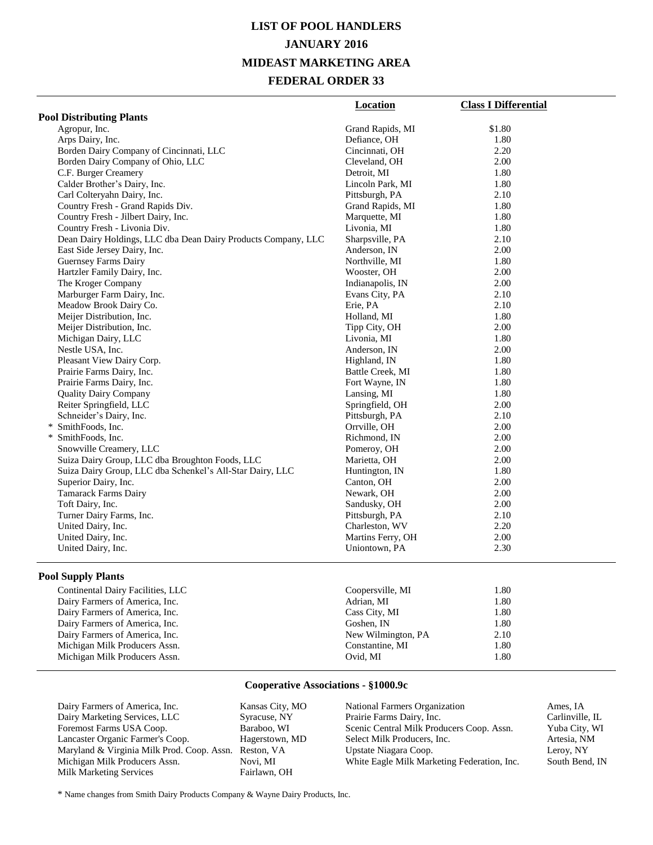## **LIST OF POOL HANDLERS JANUARY 2016 MIDEAST MARKETING AREA FEDERAL ORDER 33**

|                                                               | Location          | <b>Class I Differential</b> |
|---------------------------------------------------------------|-------------------|-----------------------------|
| <b>Pool Distributing Plants</b>                               |                   |                             |
| Agropur, Inc.                                                 | Grand Rapids, MI  | \$1.80                      |
| Arps Dairy, Inc.                                              | Defiance, OH      | 1.80                        |
| Borden Dairy Company of Cincinnati, LLC                       | Cincinnati, OH    | 2.20                        |
| Borden Dairy Company of Ohio, LLC                             | Cleveland, OH     | 2.00                        |
| C.F. Burger Creamery                                          | Detroit, MI       | 1.80                        |
| Calder Brother's Dairy, Inc.                                  | Lincoln Park, MI  | 1.80                        |
| Carl Colteryahn Dairy, Inc.                                   | Pittsburgh, PA    | 2.10                        |
| Country Fresh - Grand Rapids Div.                             | Grand Rapids, MI  | 1.80                        |
| Country Fresh - Jilbert Dairy, Inc.                           | Marquette, MI     | 1.80                        |
| Country Fresh - Livonia Div.                                  | Livonia, MI       | 1.80                        |
| Dean Dairy Holdings, LLC dba Dean Dairy Products Company, LLC | Sharpsville, PA   | 2.10                        |
| East Side Jersey Dairy, Inc.                                  | Anderson, IN      | 2.00                        |
| Guernsey Farms Dairy                                          | Northville, MI    | 1.80                        |
| Hartzler Family Dairy, Inc.                                   | Wooster, OH       | 2.00                        |
| The Kroger Company                                            | Indianapolis, IN  | 2.00                        |
| Marburger Farm Dairy, Inc.                                    | Evans City, PA    | 2.10                        |
| Meadow Brook Dairy Co.                                        | Erie, PA          | 2.10                        |
| Meijer Distribution, Inc.                                     | Holland, MI       | 1.80                        |
| Meijer Distribution, Inc.                                     | Tipp City, OH     | 2.00                        |
| Michigan Dairy, LLC                                           | Livonia, MI       | 1.80                        |
| Nestle USA, Inc.                                              | Anderson, IN      | 2.00                        |
| Pleasant View Dairy Corp.                                     | Highland, IN      | 1.80                        |
| Prairie Farms Dairy, Inc.                                     | Battle Creek, MI  | 1.80                        |
| Prairie Farms Dairy, Inc.                                     | Fort Wayne, IN    | 1.80                        |
| <b>Quality Dairy Company</b>                                  | Lansing, MI       | 1.80                        |
| Reiter Springfield, LLC                                       | Springfield, OH   | 2.00                        |
| Schneider's Dairy, Inc.                                       | Pittsburgh, PA    | 2.10                        |
| * SmithFoods, Inc.                                            | Orrville, OH      | 2.00                        |
| * SmithFoods, Inc.                                            | Richmond, IN      | 2.00                        |
| Snowville Creamery, LLC                                       | Pomeroy, OH       | 2.00                        |
| Suiza Dairy Group, LLC dba Broughton Foods, LLC               | Marietta, OH      | 2.00                        |
| Suiza Dairy Group, LLC dba Schenkel's All-Star Dairy, LLC     | Huntington, IN    | 1.80                        |
| Superior Dairy, Inc.                                          | Canton, OH        | 2.00                        |
| <b>Tamarack Farms Dairy</b>                                   | Newark, OH        | 2.00                        |
| Toft Dairy, Inc.                                              | Sandusky, OH      | 2.00                        |
| Turner Dairy Farms, Inc.                                      | Pittsburgh, PA    | 2.10                        |
| United Dairy, Inc.                                            | Charleston, WV    | 2.20                        |
| United Dairy, Inc.                                            | Martins Ferry, OH | 2.00                        |
| United Dairy, Inc.                                            | Uniontown, PA     | 2.30                        |

#### **Pool Supply Plants**

| Continental Dairy Facilities, LLC | Coopersville, MI   | 1.80 |  |
|-----------------------------------|--------------------|------|--|
| Dairy Farmers of America, Inc.    | Adrian, MI         | 1.80 |  |
| Dairy Farmers of America, Inc.    | Cass City, MI      | 1.80 |  |
| Dairy Farmers of America, Inc.    | Goshen. IN         | 1.80 |  |
| Dairy Farmers of America, Inc.    | New Wilmington, PA | 2.10 |  |
| Michigan Milk Producers Assn.     | Constantine, MI    | 1.80 |  |
| Michigan Milk Producers Assn.     | Ovid. MI           | 1.80 |  |
|                                   |                    |      |  |

#### **Cooperative Associations - §1000.9c**

| Dairy Marketing Services, LLC<br>Syracuse, |                 |
|--------------------------------------------|-----------------|
| Foremost Farms USA Coop.                   | Baraboo,        |
| Lancaster Organic Farmer's Coop.           | <b>Hagersto</b> |
| Maryland & Virginia Milk Prod. Coop. Assn. | Reston, V       |
| Michigan Milk Producers Assn.              | Novi, MI        |
| Milk Marketing Services                    | Fairlawn,       |

as City, MO use, NY  $\overline{X}$ oo, WI rstown, MD  $n, VA$ wn, OH

| National Farmers Organization               | Ames, IA    |
|---------------------------------------------|-------------|
| Prairie Farms Dairy, Inc.                   | Carlinville |
| Scenic Central Milk Producers Coop. Assn.   | Yuba City   |
| Select Milk Producers, Inc.                 | Artesia, N  |
| Upstate Niagara Coop.                       | Leroy, NY   |
| White Eagle Milk Marketing Federation, Inc. | South Ben   |
|                                             |             |

Carlinville, IL Yuba City, WI Artesia, NM Leroy, NY South Bend, IN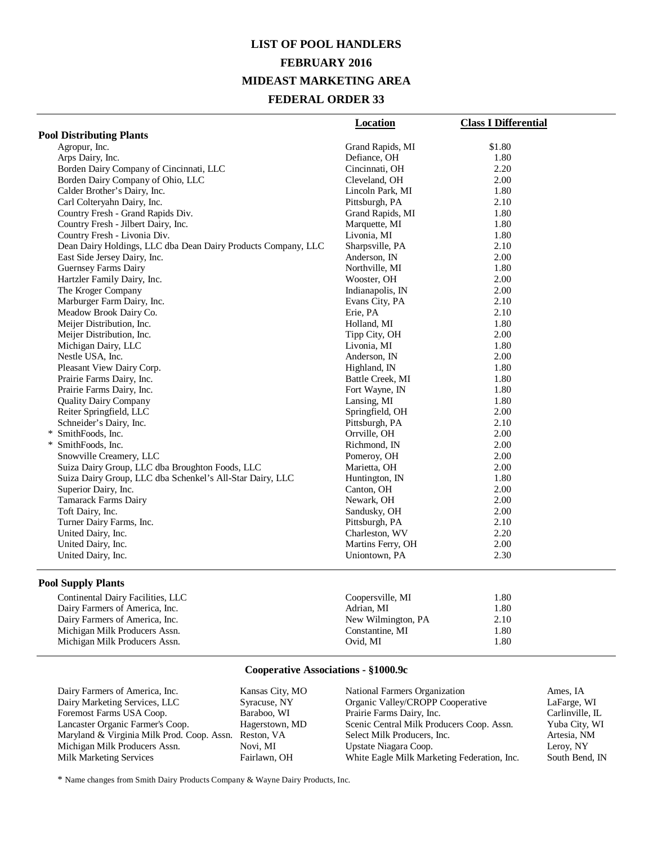## **LIST OF POOL HANDLERS FEBRUARY 2016 MIDEAST MARKETING AREA FEDERAL ORDER 33**

|                                                               | <b>Location</b>   | <b>Class I Differential</b> |
|---------------------------------------------------------------|-------------------|-----------------------------|
| <b>Pool Distributing Plants</b>                               |                   |                             |
| Agropur, Inc.                                                 | Grand Rapids, MI  | \$1.80                      |
| Arps Dairy, Inc.                                              | Defiance, OH      | 1.80                        |
| Borden Dairy Company of Cincinnati, LLC                       | Cincinnati, OH    | 2.20                        |
| Borden Dairy Company of Ohio, LLC                             | Cleveland, OH     | 2.00                        |
| Calder Brother's Dairy, Inc.                                  | Lincoln Park, MI  | 1.80                        |
| Carl Colteryahn Dairy, Inc.                                   | Pittsburgh, PA    | 2.10                        |
| Country Fresh - Grand Rapids Div.                             | Grand Rapids, MI  | 1.80                        |
| Country Fresh - Jilbert Dairy, Inc.                           | Marquette, MI     | 1.80                        |
| Country Fresh - Livonia Div.                                  | Livonia, MI       | 1.80                        |
| Dean Dairy Holdings, LLC dba Dean Dairy Products Company, LLC | Sharpsville, PA   | 2.10                        |
| East Side Jersey Dairy, Inc.                                  | Anderson, IN      | 2.00                        |
| Guernsey Farms Dairy                                          | Northville, MI    | 1.80                        |
| Hartzler Family Dairy, Inc.                                   | Wooster, OH       | 2.00                        |
| The Kroger Company                                            | Indianapolis, IN  | 2.00                        |
| Marburger Farm Dairy, Inc.                                    | Evans City, PA    | 2.10                        |
| Meadow Brook Dairy Co.                                        | Erie, PA          | 2.10                        |
| Meijer Distribution, Inc.                                     | Holland, MI       | 1.80                        |
| Meijer Distribution, Inc.                                     | Tipp City, OH     | 2.00                        |
| Michigan Dairy, LLC                                           | Livonia, MI       | 1.80                        |
| Nestle USA, Inc.                                              | Anderson, IN      | 2.00                        |
| Pleasant View Dairy Corp.                                     | Highland, IN      | 1.80                        |
| Prairie Farms Dairy, Inc.                                     | Battle Creek, MI  | 1.80                        |
| Prairie Farms Dairy, Inc.                                     | Fort Wayne, IN    | 1.80                        |
| <b>Ouality Dairy Company</b>                                  | Lansing, MI       | 1.80                        |
| Reiter Springfield, LLC                                       | Springfield, OH   | 2.00                        |
| Schneider's Dairy, Inc.                                       | Pittsburgh, PA    | 2.10                        |
| * SmithFoods, Inc.                                            | Orrville, OH      | 2.00                        |
| * SmithFoods, Inc.                                            | Richmond, IN      | 2.00                        |
| Snowville Creamery, LLC                                       | Pomeroy, OH       | 2.00                        |
| Suiza Dairy Group, LLC dba Broughton Foods, LLC               | Marietta, OH      | 2.00                        |
| Suiza Dairy Group, LLC dba Schenkel's All-Star Dairy, LLC     | Huntington, IN    | 1.80                        |
| Superior Dairy, Inc.                                          | Canton, OH        | 2.00                        |
| Tamarack Farms Dairy                                          | Newark, OH        | 2.00                        |
| Toft Dairy, Inc.                                              | Sandusky, OH      | 2.00                        |
| Turner Dairy Farms, Inc.                                      | Pittsburgh, PA    | 2.10                        |
| United Dairy, Inc.                                            | Charleston, WV    | 2.20                        |
| United Dairy, Inc.                                            | Martins Ferry, OH | 2.00                        |
| United Dairy, Inc.                                            | Uniontown, PA     | 2.30                        |

## **Pool Supply Plants**

| Continental Dairy Facilities, LLC | Coopersville, MI   | 1.80 |
|-----------------------------------|--------------------|------|
| Dairy Farmers of America, Inc.    | Adrian. MI         | 1.80 |
| Dairy Farmers of America, Inc.    | New Wilmington, PA | 2.10 |
| Michigan Milk Producers Assn.     | Constantine, MI    | 1.80 |
| Michigan Milk Producers Assn.     | Ovid. MI           | 1.80 |

### **Cooperative Associations - §1000.9c**

| Dairy Farmers of America, Inc.             | Kansas City, MO | National Farmers Organization               | Ames, IA        |
|--------------------------------------------|-----------------|---------------------------------------------|-----------------|
| Dairy Marketing Services, LLC              | Syracuse, NY    | Organic Valley/CROPP Cooperative            | LaFarge, WI     |
| Foremost Farms USA Coop.                   | Baraboo, WI     | Prairie Farms Dairy, Inc.                   | Carlinville, IL |
| Lancaster Organic Farmer's Coop.           | Hagerstown, MD  | Scenic Central Milk Producers Coop. Assn.   | Yuba City, WI   |
| Maryland & Virginia Milk Prod. Coop. Assn. | Reston, VA      | Select Milk Producers, Inc.                 | Artesia, NM     |
| Michigan Milk Producers Assn.              | Novi. MI        | Upstate Niagara Coop.                       | Leroy, NY       |
| <b>Milk Marketing Services</b>             | Fairlawn, OH    | White Eagle Milk Marketing Federation, Inc. | South Bend, IN  |
|                                            |                 |                                             |                 |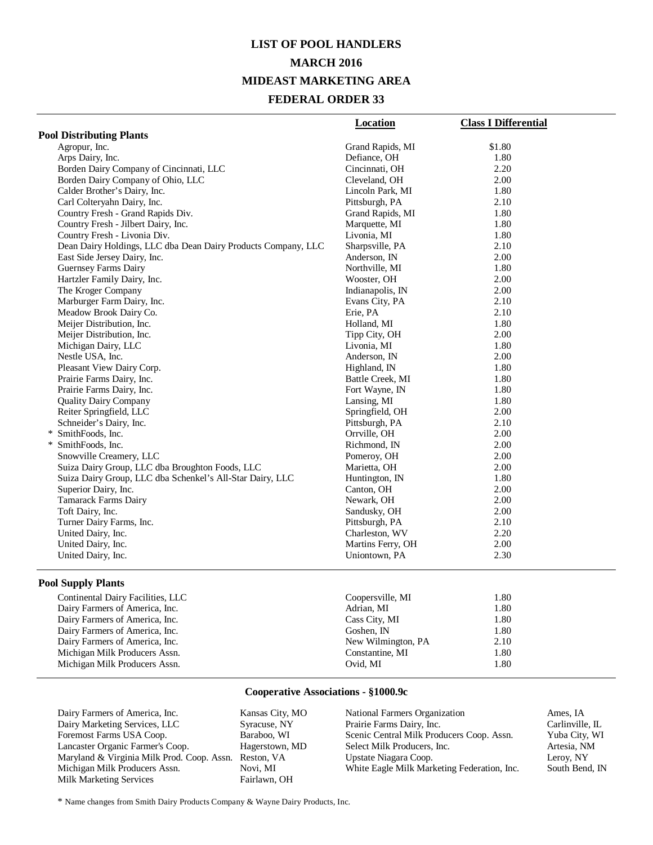## **LIST OF POOL HANDLERS MARCH 2016 MIDEAST MARKETING AREA FEDERAL ORDER 33**

|                                                               | Location          | <b>Class I Differential</b> |
|---------------------------------------------------------------|-------------------|-----------------------------|
| <b>Pool Distributing Plants</b>                               |                   |                             |
| Agropur, Inc.                                                 | Grand Rapids, MI  | \$1.80                      |
| Arps Dairy, Inc.                                              | Defiance, OH      | 1.80                        |
| Borden Dairy Company of Cincinnati, LLC                       | Cincinnati, OH    | 2.20                        |
| Borden Dairy Company of Ohio, LLC                             | Cleveland, OH     | 2.00                        |
| Calder Brother's Dairy, Inc.                                  | Lincoln Park, MI  | 1.80                        |
| Carl Colteryahn Dairy, Inc.                                   | Pittsburgh, PA    | 2.10                        |
| Country Fresh - Grand Rapids Div.                             | Grand Rapids, MI  | 1.80                        |
| Country Fresh - Jilbert Dairy, Inc.                           | Marquette, MI     | 1.80                        |
| Country Fresh - Livonia Div.                                  | Livonia, MI       | 1.80                        |
| Dean Dairy Holdings, LLC dba Dean Dairy Products Company, LLC | Sharpsville, PA   | 2.10                        |
| East Side Jersey Dairy, Inc.                                  | Anderson, IN      | 2.00                        |
| Guernsey Farms Dairy                                          | Northville, MI    | 1.80                        |
| Hartzler Family Dairy, Inc.                                   | Wooster, OH       | 2.00                        |
| The Kroger Company                                            | Indianapolis, IN  | 2.00                        |
| Marburger Farm Dairy, Inc.                                    | Evans City, PA    | 2.10                        |
| Meadow Brook Dairy Co.                                        | Erie, PA          | 2.10                        |
| Meijer Distribution, Inc.                                     | Holland, MI       | 1.80                        |
| Meijer Distribution, Inc.                                     | Tipp City, OH     | 2.00                        |
| Michigan Dairy, LLC                                           | Livonia, MI       | 1.80                        |
| Nestle USA, Inc.                                              | Anderson, IN      | 2.00                        |
| Pleasant View Dairy Corp.                                     | Highland, IN      | 1.80                        |
| Prairie Farms Dairy, Inc.                                     | Battle Creek, MI  | 1.80                        |
| Prairie Farms Dairy, Inc.                                     | Fort Wayne, IN    | 1.80                        |
| <b>Quality Dairy Company</b>                                  | Lansing, MI       | 1.80                        |
| Reiter Springfield, LLC                                       | Springfield, OH   | 2.00                        |
| Schneider's Dairy, Inc.                                       | Pittsburgh, PA    | 2.10                        |
| * SmithFoods, Inc.                                            | Orrville, OH      | 2.00                        |
| * SmithFoods, Inc.                                            | Richmond, IN      | 2.00                        |
| Snowville Creamery, LLC                                       | Pomeroy, OH       | 2.00                        |
| Suiza Dairy Group, LLC dba Broughton Foods, LLC               | Marietta, OH      | 2.00                        |
| Suiza Dairy Group, LLC dba Schenkel's All-Star Dairy, LLC     | Huntington, IN    | 1.80                        |
| Superior Dairy, Inc.                                          | Canton, OH        | 2.00                        |
| Tamarack Farms Dairy                                          | Newark, OH        | 2.00                        |
| Toft Dairy, Inc.                                              | Sandusky, OH      | 2.00                        |
| Turner Dairy Farms, Inc.                                      | Pittsburgh, PA    | 2.10                        |
| United Dairy, Inc.                                            | Charleston, WV    | 2.20                        |
| United Dairy, Inc.                                            | Martins Ferry, OH | 2.00                        |
| United Dairy, Inc.                                            | Uniontown, PA     | 2.30                        |

#### **Pool Supply Plants**

| Continental Dairy Facilities, LLC | Coopersville, MI   | 1.80 |
|-----------------------------------|--------------------|------|
| Dairy Farmers of America, Inc.    | Adrian, MI         | 1.80 |
| Dairy Farmers of America, Inc.    | Cass City, MI      | 1.80 |
| Dairy Farmers of America, Inc.    | Goshen. IN         | 1.80 |
| Dairy Farmers of America, Inc.    | New Wilmington, PA | 2.10 |
| Michigan Milk Producers Assn.     | Constantine, MI    | 1.80 |
| Michigan Milk Producers Assn.     | Ovid, MI           | 1.80 |
|                                   |                    |      |

### **Cooperative Associations - §1000.9c**

Dairy Farmers of America, Inc.<br>
Dairy Marketing Services, LLC<br>
Syracuse, NY Dairy Marketing Services, LLC Syracuse, NY Foremost Farms USA Coop. Lancaster Organic Farmer's Coop. Hagerstown, MD<br>Maryland & Virginia Milk Prod. Coop. Assn. Reston, VA Maryland & Virginia Milk Prod. Coop. Assn. Reston, V<br>Michigan Milk Producers Assn. Novi, MI Michigan Milk Producers Assn. Novi, MI<br>
Milk Marketing Services Fairlawn, OH Milk Marketing Services

National Farmers Organization Ames, IA<br>
Prairie Farms Dairy, Inc. Carlinville, IL Prairie Farms Dairy, Inc. Carlinville, IL<br>Scenic Central Milk Producers Coop. Assn. Yuba City, WI Scenic Central Milk Producers Coop. Assn. Select Milk Producers, Inc. Artesia, NM Upstate Niagara Coop. <br>
White Eagle Milk Marketing Federation, Inc. South Bend, IN White Eagle Milk Marketing Federation, Inc.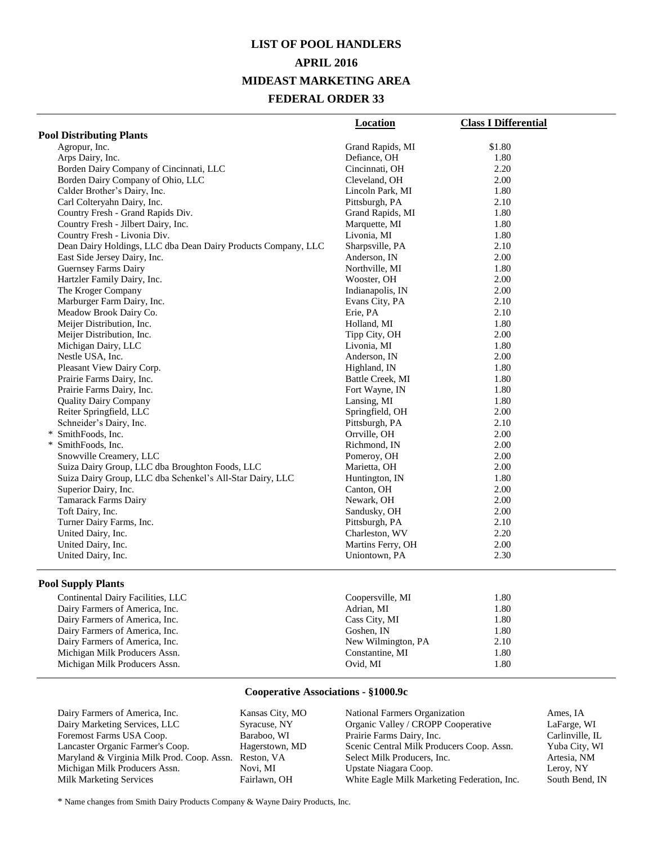## **LIST OF POOL HANDLERS APRIL 2016 MIDEAST MARKETING AREA FEDERAL ORDER 33**

|                                                               | <b>Location</b>   | <b>Class I Differential</b> |
|---------------------------------------------------------------|-------------------|-----------------------------|
| <b>Pool Distributing Plants</b>                               |                   |                             |
| Agropur, Inc.                                                 | Grand Rapids, MI  | \$1.80                      |
| Arps Dairy, Inc.                                              | Defiance, OH      | 1.80                        |
| Borden Dairy Company of Cincinnati, LLC                       | Cincinnati, OH    | 2.20                        |
| Borden Dairy Company of Ohio, LLC                             | Cleveland, OH     | 2.00                        |
| Calder Brother's Dairy, Inc.                                  | Lincoln Park, MI  | 1.80                        |
| Carl Colteryahn Dairy, Inc.                                   | Pittsburgh, PA    | 2.10                        |
| Country Fresh - Grand Rapids Div.                             | Grand Rapids, MI  | 1.80                        |
| Country Fresh - Jilbert Dairy, Inc.                           | Marquette, MI     | 1.80                        |
| Country Fresh - Livonia Div.                                  | Livonia, MI       | 1.80                        |
| Dean Dairy Holdings, LLC dba Dean Dairy Products Company, LLC | Sharpsville, PA   | 2.10                        |
| East Side Jersey Dairy, Inc.                                  | Anderson, IN      | 2.00                        |
| <b>Guernsey Farms Dairy</b>                                   | Northville, MI    | 1.80                        |
| Hartzler Family Dairy, Inc.                                   | Wooster, OH       | 2.00                        |
| The Kroger Company                                            | Indianapolis, IN  | 2.00                        |
| Marburger Farm Dairy, Inc.                                    | Evans City, PA    | 2.10                        |
| Meadow Brook Dairy Co.                                        | Erie, PA          | 2.10                        |
| Meijer Distribution, Inc.                                     | Holland, MI       | 1.80                        |
| Meijer Distribution, Inc.                                     | Tipp City, OH     | 2.00                        |
| Michigan Dairy, LLC                                           | Livonia, MI       | 1.80                        |
| Nestle USA, Inc.                                              | Anderson, IN      | 2.00                        |
| Pleasant View Dairy Corp.                                     | Highland, IN      | 1.80                        |
| Prairie Farms Dairy, Inc.                                     | Battle Creek, MI  | 1.80                        |
| Prairie Farms Dairy, Inc.                                     | Fort Wayne, IN    | 1.80                        |
| <b>Quality Dairy Company</b>                                  | Lansing, MI       | 1.80                        |
| Reiter Springfield, LLC                                       | Springfield, OH   | 2.00                        |
| Schneider's Dairy, Inc.                                       | Pittsburgh, PA    | 2.10                        |
| * SmithFoods, Inc.                                            | Orrville, OH      | 2.00                        |
| * SmithFoods, Inc.                                            | Richmond, IN      | 2.00                        |
| Snowville Creamery, LLC                                       | Pomeroy, OH       | 2.00                        |
| Suiza Dairy Group, LLC dba Broughton Foods, LLC               | Marietta, OH      | 2.00                        |
| Suiza Dairy Group, LLC dba Schenkel's All-Star Dairy, LLC     | Huntington, IN    | 1.80                        |
| Superior Dairy, Inc.                                          | Canton, OH        | 2.00                        |
| Tamarack Farms Dairy                                          | Newark, OH        | 2.00                        |
| Toft Dairy, Inc.                                              | Sandusky, OH      | 2.00                        |
| Turner Dairy Farms, Inc.                                      | Pittsburgh, PA    | 2.10                        |
| United Dairy, Inc.                                            | Charleston, WV    | 2.20                        |
| United Dairy, Inc.                                            | Martins Ferry, OH | 2.00                        |
| United Dairy, Inc.                                            | Uniontown, PA     | 2.30                        |
|                                                               |                   |                             |

#### **Pool Supply Plants**

#### **Cooperative Associations - §1000.9c**

| Dairy Farmers of America, Inc.             | Kansas City, MO | National Farmers Organization               | Ames. IA        |
|--------------------------------------------|-----------------|---------------------------------------------|-----------------|
| Dairy Marketing Services, LLC              | Syracuse, NY    | Organic Valley / CROPP Cooperative          | LaFarge, WI     |
| Foremost Farms USA Coop.                   | Baraboo, WI     | Prairie Farms Dairy, Inc.                   | Carlinville, IL |
| Lancaster Organic Farmer's Coop.           | Hagerstown, MD  | Scenic Central Milk Producers Coop. Assn.   | Yuba City, WI   |
| Maryland & Virginia Milk Prod. Coop. Assn. | Reston, VA      | Select Milk Producers, Inc.                 | Artesia, NM     |
| Michigan Milk Producers Assn.              | Novi. MI        | Upstate Niagara Coop.                       | Leroy, NY       |
| <b>Milk Marketing Services</b>             | Fairlawn, OH    | White Eagle Milk Marketing Federation, Inc. | South Bend, IN  |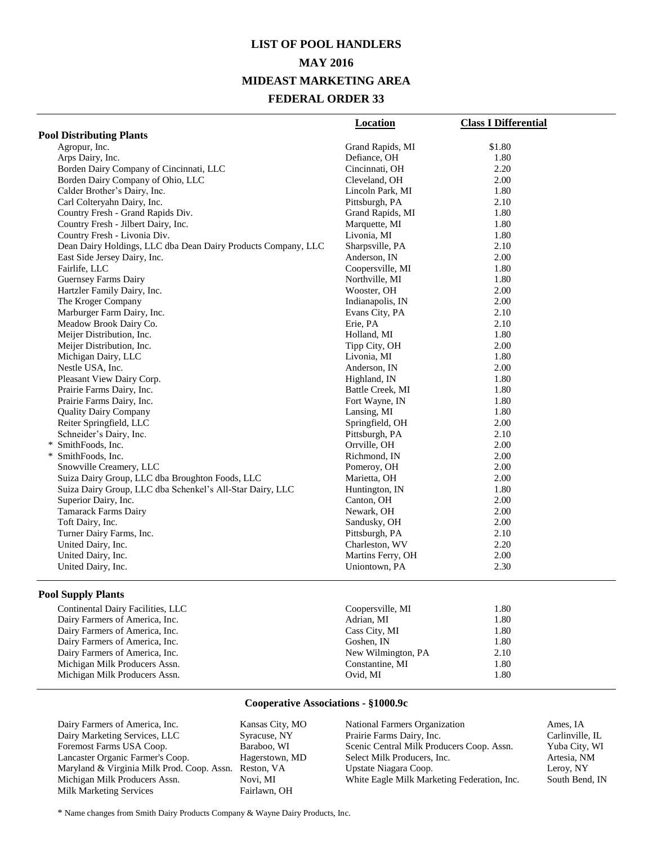## **LIST OF POOL HANDLERS MAY 2016 MIDEAST MARKETING AREA FEDERAL ORDER 33**

|                                                               | <b>Location</b>   | <b>Class I Differential</b> |
|---------------------------------------------------------------|-------------------|-----------------------------|
| <b>Pool Distributing Plants</b>                               |                   |                             |
| Agropur, Inc.                                                 | Grand Rapids, MI  | \$1.80                      |
| Arps Dairy, Inc.                                              | Defiance, OH      | 1.80                        |
| Borden Dairy Company of Cincinnati, LLC                       | Cincinnati, OH    | 2.20                        |
| Borden Dairy Company of Ohio, LLC                             | Cleveland, OH     | 2.00                        |
| Calder Brother's Dairy, Inc.                                  | Lincoln Park, MI  | 1.80                        |
| Carl Colteryahn Dairy, Inc.                                   | Pittsburgh, PA    | 2.10                        |
| Country Fresh - Grand Rapids Div.                             | Grand Rapids, MI  | 1.80                        |
| Country Fresh - Jilbert Dairy, Inc.                           | Marquette, MI     | 1.80                        |
| Country Fresh - Livonia Div.                                  | Livonia, MI       | 1.80                        |
| Dean Dairy Holdings, LLC dba Dean Dairy Products Company, LLC | Sharpsville, PA   | 2.10                        |
| East Side Jersey Dairy, Inc.                                  | Anderson, IN      | 2.00                        |
| Fairlife, LLC                                                 | Coopersville, MI  | 1.80                        |
| Guernsey Farms Dairy                                          | Northville, MI    | 1.80                        |
| Hartzler Family Dairy, Inc.                                   | Wooster, OH       | 2.00                        |
| The Kroger Company                                            | Indianapolis, IN  | 2.00                        |
| Marburger Farm Dairy, Inc.                                    | Evans City, PA    | 2.10                        |
| Meadow Brook Dairy Co.                                        | Erie, PA          | 2.10                        |
| Meijer Distribution, Inc.                                     | Holland, MI       | 1.80                        |
| Meijer Distribution, Inc.                                     | Tipp City, OH     | 2.00                        |
| Michigan Dairy, LLC                                           | Livonia, MI       | 1.80                        |
| Nestle USA, Inc.                                              | Anderson, IN      | 2.00                        |
| Pleasant View Dairy Corp.                                     | Highland, IN      | 1.80                        |
| Prairie Farms Dairy, Inc.                                     | Battle Creek, MI  | 1.80                        |
| Prairie Farms Dairy, Inc.                                     | Fort Wayne, IN    | 1.80                        |
| <b>Quality Dairy Company</b>                                  | Lansing, MI       | 1.80                        |
| Reiter Springfield, LLC                                       | Springfield, OH   | 2.00                        |
| Schneider's Dairy, Inc.                                       | Pittsburgh, PA    | 2.10                        |
| * SmithFoods, Inc.                                            | Orrville, OH      | 2.00                        |
| * SmithFoods, Inc.                                            | Richmond, IN      | 2.00                        |
| Snowville Creamery, LLC                                       | Pomeroy, OH       | 2.00                        |
| Suiza Dairy Group, LLC dba Broughton Foods, LLC               | Marietta, OH      | 2.00                        |
| Suiza Dairy Group, LLC dba Schenkel's All-Star Dairy, LLC     | Huntington, IN    | 1.80                        |
| Superior Dairy, Inc.                                          | Canton, OH        | 2.00                        |
| <b>Tamarack Farms Dairy</b>                                   | Newark, OH        | 2.00                        |
| Toft Dairy, Inc.                                              | Sandusky, OH      | 2.00                        |
| Turner Dairy Farms, Inc.                                      | Pittsburgh, PA    | 2.10                        |
| United Dairy, Inc.                                            | Charleston, WV    | 2.20                        |
| United Dairy, Inc.                                            | Martins Ferry, OH | 2.00                        |
| United Dairy, Inc.                                            | Uniontown, PA     | 2.30                        |
|                                                               |                   |                             |

#### **Pool Supply Plants**

| Continental Dairy Facilities, LLC | Coopersville, MI   | 1.80 |
|-----------------------------------|--------------------|------|
| Dairy Farmers of America, Inc.    | Adrian, MI         | 1.80 |
| Dairy Farmers of America, Inc.    | Cass City, MI      | 1.80 |
| Dairy Farmers of America, Inc.    | Goshen, IN         | 1.80 |
| Dairy Farmers of America, Inc.    | New Wilmington, PA | 2.10 |
| Michigan Milk Producers Assn.     | Constantine, MI    | 1.80 |
| Michigan Milk Producers Assn.     | Ovid. MI           | 1.80 |
|                                   |                    |      |

#### **Cooperative Associations - §1000.9c**

Dairy Farmers of America, Inc.<br>
Dairy Marketing Services, LLC<br>
Syracuse, NY Dairy Marketing Services, LLC Foremost Farms USA Coop. Baraboo, WI Lancaster Organic Farmer's Coop. Hagerstown, MD Maryland & Virginia Milk Prod. Coop. Assn. Reston, VA Michigan Milk Producers Assn. Novi, MI<br>Milk Marketing Services Fairlawn, OH Milk Marketing Services

National Farmers Organization Ames, IA<br>
Prairie Farms Dairy, Inc. Carlinville, IL Prairie Farms Dairy, Inc. Scenic Central Milk Producers Coop. Assn. Yuba City, WI Select Milk Producers, Inc. Artesia, NM Upstate Niagara Coop. <br>
White Eagle Milk Marketing Federation, Inc. South Bend, IN White Eagle Milk Marketing Federation, Inc.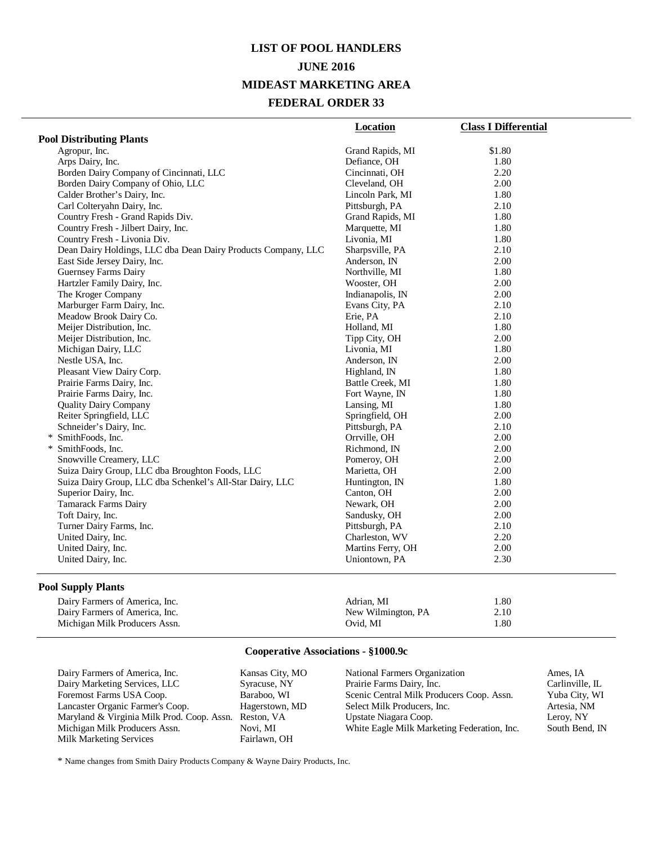# **LIST OF POOL HANDLERS JUNE 2016 MIDEAST MARKETING AREA FEDERAL ORDER 33**

|                                                               | Location          | <b>Class I Differential</b> |
|---------------------------------------------------------------|-------------------|-----------------------------|
| <b>Pool Distributing Plants</b>                               |                   |                             |
| Agropur, Inc.                                                 | Grand Rapids, MI  | \$1.80                      |
| Arps Dairy, Inc.                                              | Defiance, OH      | 1.80                        |
| Borden Dairy Company of Cincinnati, LLC                       | Cincinnati, OH    | 2.20                        |
| Borden Dairy Company of Ohio, LLC                             | Cleveland, OH     | 2.00                        |
| Calder Brother's Dairy, Inc.                                  | Lincoln Park, MI  | 1.80                        |
| Carl Colteryahn Dairy, Inc.                                   | Pittsburgh, PA    | 2.10                        |
| Country Fresh - Grand Rapids Div.                             | Grand Rapids, MI  | 1.80                        |
| Country Fresh - Jilbert Dairy, Inc.                           | Marquette, MI     | 1.80                        |
| Country Fresh - Livonia Div.                                  | Livonia, MI       | 1.80                        |
| Dean Dairy Holdings, LLC dba Dean Dairy Products Company, LLC | Sharpsville, PA   | 2.10                        |
| East Side Jersey Dairy, Inc.                                  | Anderson, IN      | 2.00                        |
| Guernsey Farms Dairy                                          | Northville, MI    | 1.80                        |
| Hartzler Family Dairy, Inc.                                   | Wooster, OH       | 2.00                        |
| The Kroger Company                                            | Indianapolis, IN  | 2.00                        |
| Marburger Farm Dairy, Inc.                                    | Evans City, PA    | 2.10                        |
| Meadow Brook Dairy Co.                                        | Erie, PA          | 2.10                        |
| Meijer Distribution, Inc.                                     | Holland, MI       | 1.80                        |
| Meijer Distribution, Inc.                                     | Tipp City, OH     | 2.00                        |
| Michigan Dairy, LLC                                           | Livonia, MI       | 1.80                        |
| Nestle USA, Inc.                                              | Anderson, IN      | 2.00                        |
| Pleasant View Dairy Corp.                                     | Highland, IN      | 1.80                        |
| Prairie Farms Dairy, Inc.                                     | Battle Creek, MI  | 1.80                        |
| Prairie Farms Dairy, Inc.                                     | Fort Wayne, IN    | 1.80                        |
| <b>Ouality Dairy Company</b>                                  | Lansing, MI       | 1.80                        |
| Reiter Springfield, LLC                                       | Springfield, OH   | 2.00                        |
| Schneider's Dairy, Inc.                                       | Pittsburgh, PA    | 2.10                        |
| * SmithFoods, Inc.                                            | Orrville, OH      | 2.00                        |
| * SmithFoods, Inc.                                            | Richmond, IN      | 2.00                        |
| Snowville Creamery, LLC                                       | Pomeroy, OH       | 2.00                        |
| Suiza Dairy Group, LLC dba Broughton Foods, LLC               | Marietta, OH      | 2.00                        |
| Suiza Dairy Group, LLC dba Schenkel's All-Star Dairy, LLC     | Huntington, IN    | 1.80                        |
| Superior Dairy, Inc.                                          | Canton, OH        | 2.00                        |
| <b>Tamarack Farms Dairy</b>                                   | Newark, OH        | 2.00                        |
| Toft Dairy, Inc.                                              | Sandusky, OH      | 2.00                        |
| Turner Dairy Farms, Inc.                                      | Pittsburgh, PA    | 2.10                        |
| United Dairy, Inc.                                            | Charleston, WV    | 2.20                        |
| United Dairy, Inc.                                            | Martins Ferry, OH | 2.00                        |
| United Dairy, Inc.                                            | Uniontown, PA     | 2.30                        |
|                                                               |                   |                             |

### **Pool Supply Plants**

| Dairy Farmers of America, Inc. | Adrian. MI         | l.80 |
|--------------------------------|--------------------|------|
| Dairy Farmers of America, Inc. | New Wilmington, PA | 2.10 |
| Michigan Milk Producers Assn.  | Ovid. MI           | l.80 |

### **Cooperative Associations - §1000.9c**

| Dairy Farmers of America, Inc.             | Kansas City, MO | National Farmers Organization               | Ames, IA        |
|--------------------------------------------|-----------------|---------------------------------------------|-----------------|
| Dairy Marketing Services, LLC              | Syracuse, NY    | Prairie Farms Dairy, Inc.                   | Carlinville, IL |
| Foremost Farms USA Coop.                   | Baraboo, WI     | Scenic Central Milk Producers Coop. Assn.   | Yuba City, WI   |
| Lancaster Organic Farmer's Coop.           | Hagerstown, MD  | Select Milk Producers, Inc.                 | Artesia, NM     |
| Maryland & Virginia Milk Prod. Coop. Assn. | Reston, VA      | Upstate Niagara Coop.                       | Leroy, NY       |
| Michigan Milk Producers Assn.              | Novi. MI        | White Eagle Milk Marketing Federation, Inc. | South Bend, IN  |
| <b>Milk Marketing Services</b>             | Fairlawn, OH    |                                             |                 |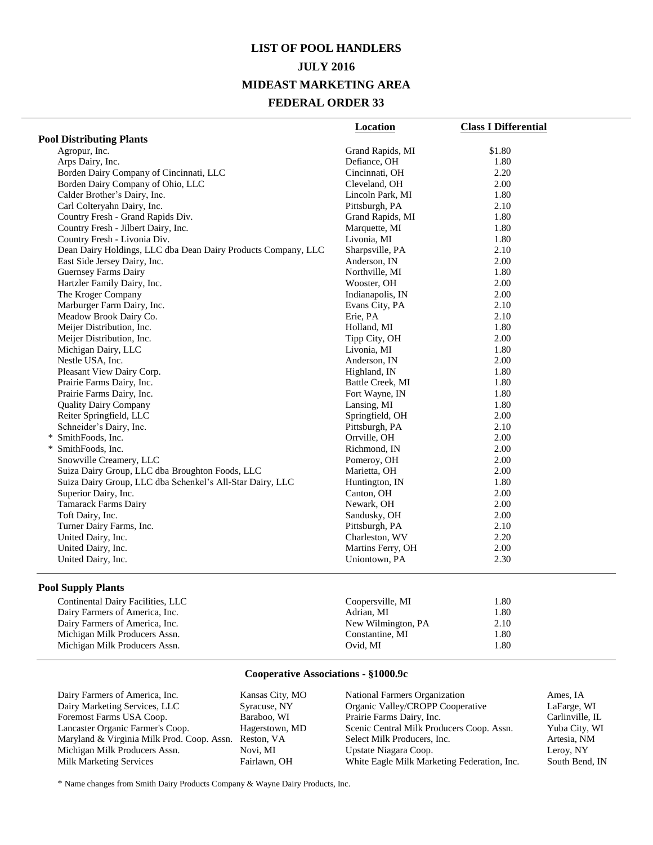# **LIST OF POOL HANDLERS JULY 2016 MIDEAST MARKETING AREA FEDERAL ORDER 33**

|                                                               | Location          | <b>Class I Differential</b> |
|---------------------------------------------------------------|-------------------|-----------------------------|
| <b>Pool Distributing Plants</b>                               |                   |                             |
| Agropur, Inc.                                                 | Grand Rapids, MI  | \$1.80                      |
| Arps Dairy, Inc.                                              | Defiance, OH      | 1.80                        |
| Borden Dairy Company of Cincinnati, LLC                       | Cincinnati, OH    | 2.20                        |
| Borden Dairy Company of Ohio, LLC                             | Cleveland, OH     | 2.00                        |
| Calder Brother's Dairy, Inc.                                  | Lincoln Park, MI  | 1.80                        |
| Carl Colteryahn Dairy, Inc.                                   | Pittsburgh, PA    | 2.10                        |
| Country Fresh - Grand Rapids Div.                             | Grand Rapids, MI  | 1.80                        |
| Country Fresh - Jilbert Dairy, Inc.                           | Marquette, MI     | 1.80                        |
| Country Fresh - Livonia Div.                                  | Livonia, MI       | 1.80                        |
| Dean Dairy Holdings, LLC dba Dean Dairy Products Company, LLC | Sharpsville, PA   | 2.10                        |
| East Side Jersey Dairy, Inc.                                  | Anderson, IN      | 2.00                        |
| Guernsey Farms Dairy                                          | Northville, MI    | 1.80                        |
| Hartzler Family Dairy, Inc.                                   | Wooster, OH       | 2.00                        |
| The Kroger Company                                            | Indianapolis, IN  | 2.00                        |
| Marburger Farm Dairy, Inc.                                    | Evans City, PA    | 2.10                        |
| Meadow Brook Dairy Co.                                        | Erie, PA          | 2.10                        |
| Meijer Distribution, Inc.                                     | Holland, MI       | 1.80                        |
| Meijer Distribution, Inc.                                     | Tipp City, OH     | 2.00                        |
| Michigan Dairy, LLC                                           | Livonia, MI       | 1.80                        |
| Nestle USA, Inc.                                              | Anderson, IN      | 2.00                        |
| Pleasant View Dairy Corp.                                     | Highland, IN      | 1.80                        |
| Prairie Farms Dairy, Inc.                                     | Battle Creek, MI  | 1.80                        |
| Prairie Farms Dairy, Inc.                                     | Fort Wayne, IN    | 1.80                        |
| <b>Ouality Dairy Company</b>                                  | Lansing, MI       | 1.80                        |
| Reiter Springfield, LLC                                       | Springfield, OH   | 2.00                        |
| Schneider's Dairy, Inc.                                       | Pittsburgh, PA    | 2.10                        |
| * SmithFoods, Inc.                                            | Orrville, OH      | 2.00                        |
| * SmithFoods, Inc.                                            | Richmond, IN      | 2.00                        |
| Snowville Creamery, LLC                                       | Pomeroy, OH       | 2.00                        |
| Suiza Dairy Group, LLC dba Broughton Foods, LLC               | Marietta, OH      | 2.00                        |
| Suiza Dairy Group, LLC dba Schenkel's All-Star Dairy, LLC     | Huntington, IN    | 1.80                        |
| Superior Dairy, Inc.                                          | Canton, OH        | 2.00                        |
| Tamarack Farms Dairy                                          | Newark, OH        | 2.00                        |
| Toft Dairy, Inc.                                              | Sandusky, OH      | 2.00                        |
| Turner Dairy Farms, Inc.                                      | Pittsburgh, PA    | 2.10                        |
| United Dairy, Inc.                                            | Charleston, WV    | 2.20                        |
| United Dairy, Inc.                                            | Martins Ferry, OH | 2.00                        |
| United Dairy, Inc.                                            | Uniontown, PA     | 2.30                        |
|                                                               |                   |                             |

### **Pool Supply Plants**

| Coopersville, MI   | 1.80 |  |
|--------------------|------|--|
| Adrian, MI         | 1.80 |  |
| New Wilmington, PA | 2.10 |  |
| Constantine, MI    | 1.80 |  |
| Ovid. MI           | 1.80 |  |
|                    |      |  |

## **Cooperative Associations - §1000.9c**

| Dairy Farmers of America, Inc.             | Kansas City, MO | National Farmers Organization               | Ames, IA        |
|--------------------------------------------|-----------------|---------------------------------------------|-----------------|
| Dairy Marketing Services, LLC              | Syracuse, NY    | Organic Valley/CROPP Cooperative            | LaFarge, WI     |
| Foremost Farms USA Coop.                   | Baraboo, WI     | Prairie Farms Dairy, Inc.                   | Carlinville, IL |
| Lancaster Organic Farmer's Coop.           | Hagerstown, MD  | Scenic Central Milk Producers Coop. Assn.   | Yuba City, WI   |
| Maryland & Virginia Milk Prod. Coop. Assn. | Reston, VA      | Select Milk Producers, Inc.                 | Artesia, NM     |
| Michigan Milk Producers Assn.              | Novi. MI        | Upstate Niagara Coop.                       | Leroy, NY       |
| Milk Marketing Services                    | Fairlawn, OH    | White Eagle Milk Marketing Federation, Inc. | South Bend, IN  |
|                                            |                 |                                             |                 |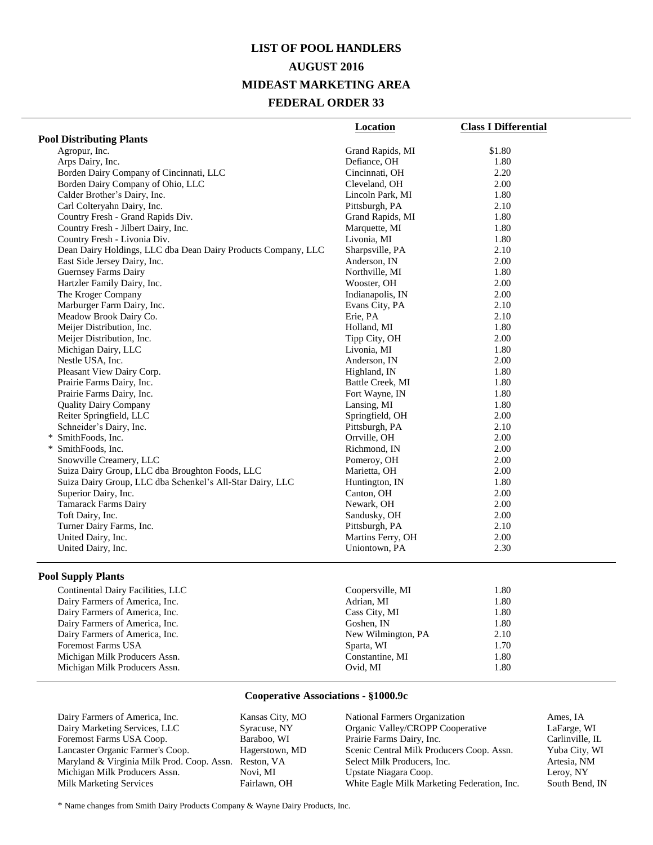# **LIST OF POOL HANDLERS AUGUST 2016 MIDEAST MARKETING AREA FEDERAL ORDER 33**

|                                                               | Location          | <b>Class I Differential</b> |
|---------------------------------------------------------------|-------------------|-----------------------------|
| <b>Pool Distributing Plants</b>                               |                   |                             |
| Agropur, Inc.                                                 | Grand Rapids, MI  | \$1.80                      |
| Arps Dairy, Inc.                                              | Defiance, OH      | 1.80                        |
| Borden Dairy Company of Cincinnati, LLC                       | Cincinnati, OH    | 2.20                        |
| Borden Dairy Company of Ohio, LLC                             | Cleveland, OH     | 2.00                        |
| Calder Brother's Dairy, Inc.                                  | Lincoln Park, MI  | 1.80                        |
| Carl Colteryahn Dairy, Inc.                                   | Pittsburgh, PA    | 2.10                        |
| Country Fresh - Grand Rapids Div.                             | Grand Rapids, MI  | 1.80                        |
| Country Fresh - Jilbert Dairy, Inc.                           | Marquette, MI     | 1.80                        |
| Country Fresh - Livonia Div.                                  | Livonia, MI       | 1.80                        |
| Dean Dairy Holdings, LLC dba Dean Dairy Products Company, LLC | Sharpsville, PA   | 2.10                        |
| East Side Jersey Dairy, Inc.                                  | Anderson, IN      | 2.00                        |
| <b>Guernsey Farms Dairy</b>                                   | Northville, MI    | 1.80                        |
| Hartzler Family Dairy, Inc.                                   | Wooster, OH       | 2.00                        |
| The Kroger Company                                            | Indianapolis, IN  | 2.00                        |
| Marburger Farm Dairy, Inc.                                    | Evans City, PA    | 2.10                        |
| Meadow Brook Dairy Co.                                        | Erie, PA          | 2.10                        |
| Meijer Distribution, Inc.                                     | Holland, MI       | 1.80                        |
| Meijer Distribution, Inc.                                     | Tipp City, OH     | 2.00                        |
| Michigan Dairy, LLC                                           | Livonia, MI       | 1.80                        |
| Nestle USA, Inc.                                              | Anderson, IN      | 2.00                        |
| Pleasant View Dairy Corp.                                     | Highland, IN      | 1.80                        |
| Prairie Farms Dairy, Inc.                                     | Battle Creek, MI  | 1.80                        |
| Prairie Farms Dairy, Inc.                                     | Fort Wayne, IN    | 1.80                        |
| <b>Quality Dairy Company</b>                                  | Lansing, MI       | 1.80                        |
| Reiter Springfield, LLC                                       | Springfield, OH   | 2.00                        |
| Schneider's Dairy, Inc.                                       | Pittsburgh, PA    | 2.10                        |
| * SmithFoods, Inc.                                            | Orrville, OH      | 2.00                        |
| SmithFoods, Inc.<br>$\ast$                                    | Richmond, IN      | 2.00                        |
| Snowville Creamery, LLC                                       | Pomeroy, OH       | 2.00                        |
| Suiza Dairy Group, LLC dba Broughton Foods, LLC               | Marietta, OH      | 2.00                        |
| Suiza Dairy Group, LLC dba Schenkel's All-Star Dairy, LLC     | Huntington, IN    | 1.80                        |
| Superior Dairy, Inc.                                          | Canton, OH        | 2.00                        |
| <b>Tamarack Farms Dairy</b>                                   | Newark, OH        | 2.00                        |
| Toft Dairy, Inc.                                              | Sandusky, OH      | 2.00                        |
| Turner Dairy Farms, Inc.                                      | Pittsburgh, PA    | 2.10                        |
| United Dairy, Inc.                                            | Martins Ferry, OH | 2.00                        |
| United Dairy, Inc.                                            | Uniontown, PA     | 2.30                        |

#### **Pool Supply Plants**

| Continental Dairy Facilities, LLC | Coopersville, MI   | 1.80 |
|-----------------------------------|--------------------|------|
| Dairy Farmers of America, Inc.    | Adrian, MI         | 1.80 |
| Dairy Farmers of America, Inc.    | Cass City, MI      | 1.80 |
| Dairy Farmers of America, Inc.    | Goshen, IN         | 1.80 |
| Dairy Farmers of America, Inc.    | New Wilmington, PA | 2.10 |
| <b>Foremost Farms USA</b>         | Sparta, WI         | 1.70 |
| Michigan Milk Producers Assn.     | Constantine, MI    | 1.80 |
| Michigan Milk Producers Assn.     | Ovid, MI           | 1.80 |
|                                   |                    |      |

#### **Cooperative Associations - §1000.9c**

| Dairy Farmers of America, Inc.             | Kansas City, MO | National Farmers Organization               | Ames, IA        |
|--------------------------------------------|-----------------|---------------------------------------------|-----------------|
| Dairy Marketing Services, LLC              | Syracuse, NY    | Organic Valley/CROPP Cooperative            | LaFarge, WI     |
| Foremost Farms USA Coop.                   | Baraboo, WI     | Prairie Farms Dairy, Inc.                   | Carlinville, IL |
| Lancaster Organic Farmer's Coop.           | Hagerstown, MD  | Scenic Central Milk Producers Coop. Assn.   | Yuba City, WI   |
| Maryland & Virginia Milk Prod. Coop. Assn. | Reston, VA      | Select Milk Producers, Inc.                 | Artesia, NM     |
| Michigan Milk Producers Assn.              | Novi. MI        | Upstate Niagara Coop.                       | Leroy, NY       |
| <b>Milk Marketing Services</b>             | Fairlawn, OH    | White Eagle Milk Marketing Federation, Inc. | South Bend, IN  |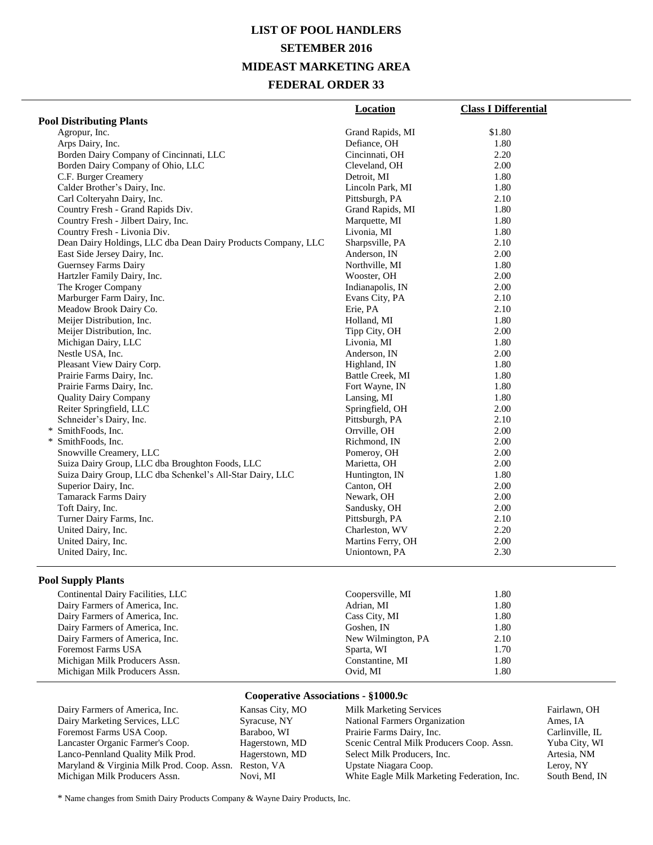# **LIST OF POOL HANDLERS SETEMBER 2016 MIDEAST MARKETING AREA FEDERAL ORDER 33**

|                                                               | <b>Location</b>   | <b>Class I Differential</b> |
|---------------------------------------------------------------|-------------------|-----------------------------|
| <b>Pool Distributing Plants</b>                               |                   |                             |
| Agropur, Inc.                                                 | Grand Rapids, MI  | \$1.80                      |
| Arps Dairy, Inc.                                              | Defiance, OH      | 1.80                        |
| Borden Dairy Company of Cincinnati, LLC                       | Cincinnati, OH    | 2.20                        |
| Borden Dairy Company of Ohio, LLC                             | Cleveland, OH     | 2.00                        |
| C.F. Burger Creamery                                          | Detroit, MI       | 1.80                        |
| Calder Brother's Dairy, Inc.                                  | Lincoln Park, MI  | 1.80                        |
| Carl Colteryahn Dairy, Inc.                                   | Pittsburgh, PA    | 2.10                        |
| Country Fresh - Grand Rapids Div.                             | Grand Rapids, MI  | 1.80                        |
| Country Fresh - Jilbert Dairy, Inc.                           | Marquette, MI     | 1.80                        |
| Country Fresh - Livonia Div.                                  | Livonia, MI       | 1.80                        |
| Dean Dairy Holdings, LLC dba Dean Dairy Products Company, LLC | Sharpsville, PA   | 2.10                        |
| East Side Jersey Dairy, Inc.                                  | Anderson, IN      | 2.00                        |
| Guernsey Farms Dairy                                          | Northville, MI    | 1.80                        |
| Hartzler Family Dairy, Inc.                                   | Wooster, OH       | 2.00                        |
| The Kroger Company                                            | Indianapolis, IN  | 2.00                        |
| Marburger Farm Dairy, Inc.                                    | Evans City, PA    | 2.10                        |
| Meadow Brook Dairy Co.                                        | Erie, PA          | 2.10                        |
| Meijer Distribution, Inc.                                     | Holland, MI       | 1.80                        |
| Meijer Distribution, Inc.                                     | Tipp City, OH     | 2.00                        |
| Michigan Dairy, LLC                                           | Livonia, MI       | 1.80                        |
| Nestle USA, Inc.                                              | Anderson, IN      | 2.00                        |
| Pleasant View Dairy Corp.                                     | Highland, IN      | 1.80                        |
| Prairie Farms Dairy, Inc.                                     | Battle Creek, MI  | 1.80                        |
| Prairie Farms Dairy, Inc.                                     | Fort Wayne, IN    | 1.80                        |
| <b>Quality Dairy Company</b>                                  | Lansing, MI       | 1.80                        |
| Reiter Springfield, LLC                                       | Springfield, OH   | 2.00                        |
| Schneider's Dairy, Inc.                                       | Pittsburgh, PA    | 2.10                        |
| * SmithFoods, Inc.                                            | Orrville, OH      | 2.00                        |
| * SmithFoods, Inc.                                            | Richmond, IN      | 2.00                        |
| Snowville Creamery, LLC                                       | Pomeroy, OH       | 2.00                        |
| Suiza Dairy Group, LLC dba Broughton Foods, LLC               | Marietta, OH      | 2.00                        |
| Suiza Dairy Group, LLC dba Schenkel's All-Star Dairy, LLC     | Huntington, IN    | 1.80                        |
| Superior Dairy, Inc.                                          | Canton, OH        | 2.00                        |
| <b>Tamarack Farms Dairy</b>                                   | Newark, OH        | 2.00                        |
| Toft Dairy, Inc.                                              | Sandusky, OH      | 2.00                        |
| Turner Dairy Farms, Inc.                                      | Pittsburgh, PA    | 2.10                        |
| United Dairy, Inc.                                            | Charleston, WV    | 2.20                        |
| United Dairy, Inc.                                            | Martins Ferry, OH | 2.00                        |
| United Dairy, Inc.                                            | Uniontown, PA     | 2.30                        |
|                                                               |                   |                             |

### **Pool Supply Plants**

| Continental Dairy Facilities, LLC | Coopersville, MI   | 1.80 |
|-----------------------------------|--------------------|------|
| Dairy Farmers of America, Inc.    | Adrian, MI         | 1.80 |
| Dairy Farmers of America, Inc.    | Cass City, MI      | 1.80 |
| Dairy Farmers of America, Inc.    | Goshen, IN         | 1.80 |
| Dairy Farmers of America, Inc.    | New Wilmington, PA | 2.10 |
| <b>Foremost Farms USA</b>         | Sparta, WI         | 1.70 |
| Michigan Milk Producers Assn.     | Constantine, MI    | 1.80 |
| Michigan Milk Producers Assn.     | Ovid, MI           | 1.80 |

## **Cooperative Associations - §1000.9c**

| Dairy Farmers of America, Inc.             | Kansas City, MO | <b>Milk Marketing Services</b>              | Fairlawn, OH    |
|--------------------------------------------|-----------------|---------------------------------------------|-----------------|
| Dairy Marketing Services, LLC              | Syracuse, NY    | National Farmers Organization               | Ames, IA        |
| Foremost Farms USA Coop.                   | Baraboo, WI     | Prairie Farms Dairy, Inc.                   | Carlinville, IL |
| Lancaster Organic Farmer's Coop.           | Hagerstown, MD  | Scenic Central Milk Producers Coop. Assn.   | Yuba City, WI   |
| Lanco-Pennland Quality Milk Prod.          | Hagerstown, MD  | Select Milk Producers, Inc.                 | Artesia, NM     |
| Maryland & Virginia Milk Prod. Coop. Assn. | Reston, VA      | Upstate Niagara Coop.                       | Leroy, NY       |
| Michigan Milk Producers Assn.              | Novi. MI        | White Eagle Milk Marketing Federation, Inc. | South Bend, IN  |
|                                            |                 |                                             |                 |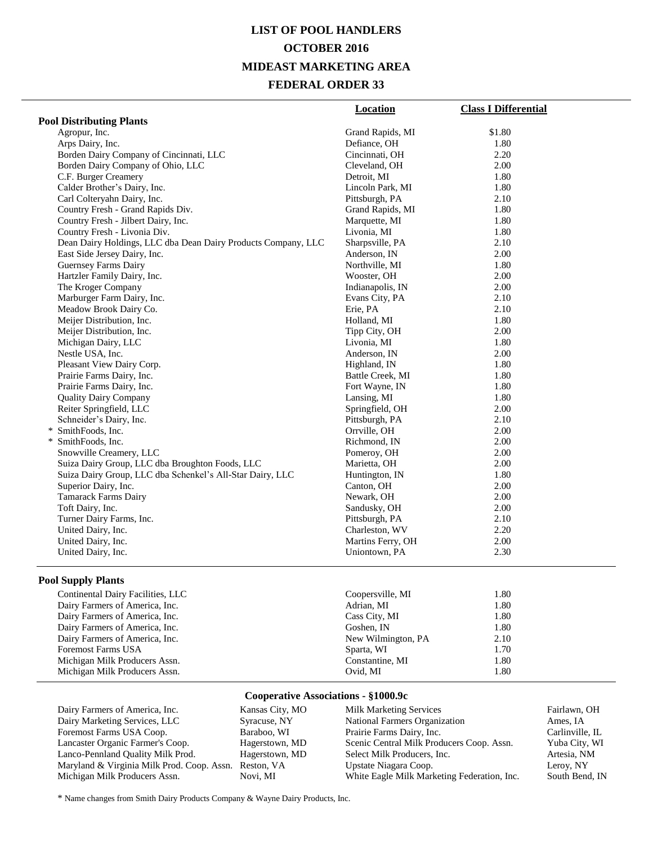# **LIST OF POOL HANDLERS OCTOBER 2016 MIDEAST MARKETING AREA FEDERAL ORDER 33**

| <b>Pool Distributing Plants</b><br>Agropur, Inc.<br>Arps Dairy, Inc.<br>Borden Dairy Company of Cincinnati, LLC<br>Borden Dairy Company of Ohio, LLC<br>C.F. Burger Creamery<br>Detroit, MI<br>Calder Brother's Dairy, Inc.<br>Carl Colteryahn Dairy, Inc.<br>Country Fresh - Grand Rapids Div.<br>Country Fresh - Jilbert Dairy, Inc.<br>Country Fresh - Livonia Div.<br>Dean Dairy Holdings, LLC dba Dean Dairy Products Company, LLC<br>East Side Jersey Dairy, Inc.<br>Guernsey Farms Dairy<br>Hartzler Family Dairy, Inc. | \$1.80<br>Grand Rapids, MI<br>Defiance, OH<br>1.80<br>2.20<br>Cincinnati, OH<br>Cleveland, OH<br>2.00<br>1.80<br>Lincoln Park, MI<br>1.80<br>Pittsburgh, PA<br>2.10<br>Grand Rapids, MI<br>1.80<br>Marquette, MI<br>1.80<br>Livonia, MI<br>1.80<br>Sharpsville, PA<br>2.10<br>Anderson, IN<br>2.00<br>Northville, MI<br>1.80<br>2.00<br>Wooster, OH<br>Indianapolis, IN<br>2.00 |  |
|--------------------------------------------------------------------------------------------------------------------------------------------------------------------------------------------------------------------------------------------------------------------------------------------------------------------------------------------------------------------------------------------------------------------------------------------------------------------------------------------------------------------------------|---------------------------------------------------------------------------------------------------------------------------------------------------------------------------------------------------------------------------------------------------------------------------------------------------------------------------------------------------------------------------------|--|
|                                                                                                                                                                                                                                                                                                                                                                                                                                                                                                                                |                                                                                                                                                                                                                                                                                                                                                                                 |  |
|                                                                                                                                                                                                                                                                                                                                                                                                                                                                                                                                |                                                                                                                                                                                                                                                                                                                                                                                 |  |
|                                                                                                                                                                                                                                                                                                                                                                                                                                                                                                                                |                                                                                                                                                                                                                                                                                                                                                                                 |  |
|                                                                                                                                                                                                                                                                                                                                                                                                                                                                                                                                |                                                                                                                                                                                                                                                                                                                                                                                 |  |
|                                                                                                                                                                                                                                                                                                                                                                                                                                                                                                                                |                                                                                                                                                                                                                                                                                                                                                                                 |  |
|                                                                                                                                                                                                                                                                                                                                                                                                                                                                                                                                |                                                                                                                                                                                                                                                                                                                                                                                 |  |
|                                                                                                                                                                                                                                                                                                                                                                                                                                                                                                                                |                                                                                                                                                                                                                                                                                                                                                                                 |  |
|                                                                                                                                                                                                                                                                                                                                                                                                                                                                                                                                |                                                                                                                                                                                                                                                                                                                                                                                 |  |
|                                                                                                                                                                                                                                                                                                                                                                                                                                                                                                                                |                                                                                                                                                                                                                                                                                                                                                                                 |  |
|                                                                                                                                                                                                                                                                                                                                                                                                                                                                                                                                |                                                                                                                                                                                                                                                                                                                                                                                 |  |
|                                                                                                                                                                                                                                                                                                                                                                                                                                                                                                                                |                                                                                                                                                                                                                                                                                                                                                                                 |  |
|                                                                                                                                                                                                                                                                                                                                                                                                                                                                                                                                |                                                                                                                                                                                                                                                                                                                                                                                 |  |
|                                                                                                                                                                                                                                                                                                                                                                                                                                                                                                                                |                                                                                                                                                                                                                                                                                                                                                                                 |  |
|                                                                                                                                                                                                                                                                                                                                                                                                                                                                                                                                |                                                                                                                                                                                                                                                                                                                                                                                 |  |
|                                                                                                                                                                                                                                                                                                                                                                                                                                                                                                                                |                                                                                                                                                                                                                                                                                                                                                                                 |  |
| The Kroger Company                                                                                                                                                                                                                                                                                                                                                                                                                                                                                                             |                                                                                                                                                                                                                                                                                                                                                                                 |  |
| Marburger Farm Dairy, Inc.                                                                                                                                                                                                                                                                                                                                                                                                                                                                                                     | 2.10<br>Evans City, PA                                                                                                                                                                                                                                                                                                                                                          |  |
| Meadow Brook Dairy Co.<br>Erie, PA                                                                                                                                                                                                                                                                                                                                                                                                                                                                                             | 2.10                                                                                                                                                                                                                                                                                                                                                                            |  |
| Meijer Distribution, Inc.                                                                                                                                                                                                                                                                                                                                                                                                                                                                                                      | 1.80<br>Holland, MI                                                                                                                                                                                                                                                                                                                                                             |  |
| Meijer Distribution, Inc.                                                                                                                                                                                                                                                                                                                                                                                                                                                                                                      | Tipp City, OH<br>2.00                                                                                                                                                                                                                                                                                                                                                           |  |
| Michigan Dairy, LLC                                                                                                                                                                                                                                                                                                                                                                                                                                                                                                            | Livonia, MI<br>1.80                                                                                                                                                                                                                                                                                                                                                             |  |
| Nestle USA, Inc.                                                                                                                                                                                                                                                                                                                                                                                                                                                                                                               | Anderson, IN<br>2.00                                                                                                                                                                                                                                                                                                                                                            |  |
| Pleasant View Dairy Corp.                                                                                                                                                                                                                                                                                                                                                                                                                                                                                                      | Highland, IN<br>1.80                                                                                                                                                                                                                                                                                                                                                            |  |
| Prairie Farms Dairy, Inc.                                                                                                                                                                                                                                                                                                                                                                                                                                                                                                      | Battle Creek, MI<br>1.80                                                                                                                                                                                                                                                                                                                                                        |  |
| Prairie Farms Dairy, Inc.                                                                                                                                                                                                                                                                                                                                                                                                                                                                                                      | Fort Wayne, IN<br>1.80                                                                                                                                                                                                                                                                                                                                                          |  |
| <b>Quality Dairy Company</b>                                                                                                                                                                                                                                                                                                                                                                                                                                                                                                   | Lansing, MI<br>1.80                                                                                                                                                                                                                                                                                                                                                             |  |
| Reiter Springfield, LLC                                                                                                                                                                                                                                                                                                                                                                                                                                                                                                        | Springfield, OH<br>2.00                                                                                                                                                                                                                                                                                                                                                         |  |
| Schneider's Dairy, Inc.                                                                                                                                                                                                                                                                                                                                                                                                                                                                                                        | Pittsburgh, PA<br>2.10                                                                                                                                                                                                                                                                                                                                                          |  |
| * SmithFoods, Inc.                                                                                                                                                                                                                                                                                                                                                                                                                                                                                                             | Orrville, OH<br>2.00                                                                                                                                                                                                                                                                                                                                                            |  |
| * SmithFoods, Inc.                                                                                                                                                                                                                                                                                                                                                                                                                                                                                                             | 2.00<br>Richmond, IN                                                                                                                                                                                                                                                                                                                                                            |  |
| Snowville Creamery, LLC                                                                                                                                                                                                                                                                                                                                                                                                                                                                                                        | 2.00<br>Pomeroy, OH                                                                                                                                                                                                                                                                                                                                                             |  |
| Suiza Dairy Group, LLC dba Broughton Foods, LLC                                                                                                                                                                                                                                                                                                                                                                                                                                                                                | Marietta, OH<br>2.00                                                                                                                                                                                                                                                                                                                                                            |  |
| Suiza Dairy Group, LLC dba Schenkel's All-Star Dairy, LLC                                                                                                                                                                                                                                                                                                                                                                                                                                                                      | 1.80<br>Huntington, IN                                                                                                                                                                                                                                                                                                                                                          |  |
| Superior Dairy, Inc.                                                                                                                                                                                                                                                                                                                                                                                                                                                                                                           | 2.00<br>Canton, OH                                                                                                                                                                                                                                                                                                                                                              |  |
| Tamarack Farms Dairy                                                                                                                                                                                                                                                                                                                                                                                                                                                                                                           | 2.00<br>Newark, OH                                                                                                                                                                                                                                                                                                                                                              |  |
| Toft Dairy, Inc.                                                                                                                                                                                                                                                                                                                                                                                                                                                                                                               | 2.00<br>Sandusky, OH                                                                                                                                                                                                                                                                                                                                                            |  |
| Turner Dairy Farms, Inc.                                                                                                                                                                                                                                                                                                                                                                                                                                                                                                       | 2.10<br>Pittsburgh, PA                                                                                                                                                                                                                                                                                                                                                          |  |
| United Dairy, Inc.                                                                                                                                                                                                                                                                                                                                                                                                                                                                                                             | Charleston, WV<br>2.20                                                                                                                                                                                                                                                                                                                                                          |  |
| United Dairy, Inc.                                                                                                                                                                                                                                                                                                                                                                                                                                                                                                             | Martins Ferry, OH<br>2.00                                                                                                                                                                                                                                                                                                                                                       |  |
| United Dairy, Inc.                                                                                                                                                                                                                                                                                                                                                                                                                                                                                                             | 2.30<br>Uniontown, PA                                                                                                                                                                                                                                                                                                                                                           |  |

#### **Pool Supply Plants**

| Continental Dairy Facilities, LLC | Coopersville, MI   | 1.80 |
|-----------------------------------|--------------------|------|
| Dairy Farmers of America, Inc.    | Adrian, MI         | 1.80 |
| Dairy Farmers of America, Inc.    | Cass City, MI      | 1.80 |
| Dairy Farmers of America, Inc.    | Goshen, IN         | 1.80 |
| Dairy Farmers of America, Inc.    | New Wilmington, PA | 2.10 |
| <b>Foremost Farms USA</b>         | Sparta, WI         | 1.70 |
| Michigan Milk Producers Assn.     | Constantine, MI    | 1.80 |
| Michigan Milk Producers Assn.     | Ovid, MI           | 1.80 |

## **Cooperative Associations - §1000.9c**

| Dairy Farmers of America, Inc.             | Kansas City, MO | <b>Milk Marketing Services</b>              | Fairlawn, OH    |
|--------------------------------------------|-----------------|---------------------------------------------|-----------------|
| Dairy Marketing Services, LLC              | Syracuse, NY    | National Farmers Organization               | Ames, IA        |
| Foremost Farms USA Coop.                   | Baraboo, WI     | Prairie Farms Dairy, Inc.                   | Carlinville, IL |
| Lancaster Organic Farmer's Coop.           | Hagerstown, MD  | Scenic Central Milk Producers Coop. Assn.   | Yuba City, WI   |
| Lanco-Pennland Quality Milk Prod.          | Hagerstown, MD  | Select Milk Producers, Inc.                 | Artesia, NM     |
| Maryland & Virginia Milk Prod. Coop. Assn. | Reston, VA      | Upstate Niagara Coop.                       | Leroy, NY       |
| Michigan Milk Producers Assn.              | Novi. MI        | White Eagle Milk Marketing Federation, Inc. | South Bend, IN  |
|                                            |                 |                                             |                 |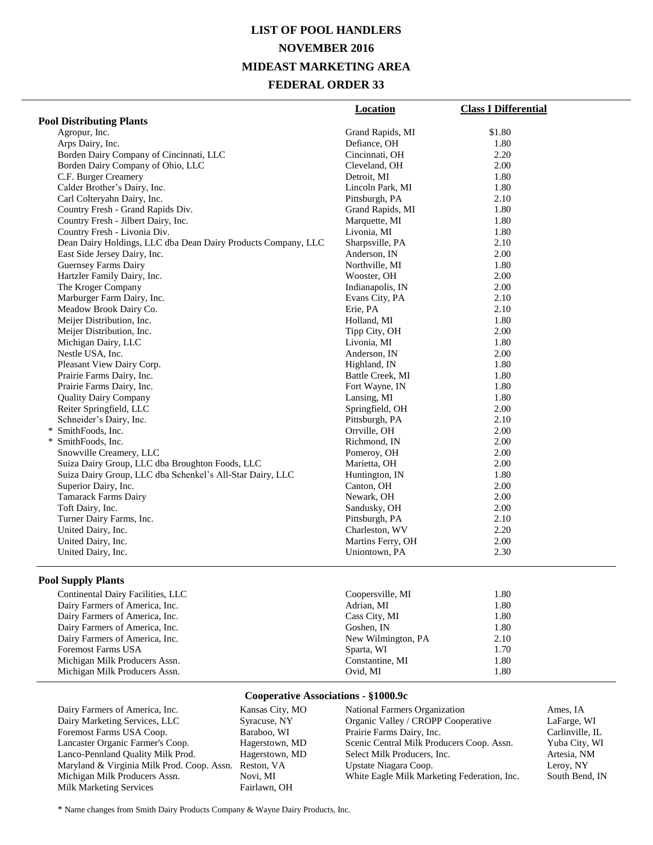# **LIST OF POOL HANDLERS NOVEMBER 2016 MIDEAST MARKETING AREA FEDERAL ORDER 33**

|                                                               | Location          | <b>Class I Differential</b> |
|---------------------------------------------------------------|-------------------|-----------------------------|
| <b>Pool Distributing Plants</b>                               |                   |                             |
| Agropur, Inc.                                                 | Grand Rapids, MI  | \$1.80                      |
| Arps Dairy, Inc.                                              | Defiance, OH      | 1.80                        |
| Borden Dairy Company of Cincinnati, LLC                       | Cincinnati, OH    | 2.20                        |
| Borden Dairy Company of Ohio, LLC                             | Cleveland, OH     | 2.00                        |
| C.F. Burger Creamery                                          | Detroit, MI       | 1.80                        |
| Calder Brother's Dairy, Inc.                                  | Lincoln Park, MI  | 1.80                        |
| Carl Colteryahn Dairy, Inc.                                   | Pittsburgh, PA    | 2.10                        |
| Country Fresh - Grand Rapids Div.                             | Grand Rapids, MI  | 1.80                        |
| Country Fresh - Jilbert Dairy, Inc.                           | Marquette, MI     | 1.80                        |
| Country Fresh - Livonia Div.                                  | Livonia, MI       | 1.80                        |
| Dean Dairy Holdings, LLC dba Dean Dairy Products Company, LLC | Sharpsville, PA   | 2.10                        |
| East Side Jersey Dairy, Inc.                                  | Anderson, IN      | 2.00                        |
| Guernsey Farms Dairy                                          | Northville, MI    | 1.80                        |
| Hartzler Family Dairy, Inc.                                   | Wooster, OH       | 2.00                        |
| The Kroger Company                                            | Indianapolis, IN  | 2.00                        |
| Marburger Farm Dairy, Inc.                                    | Evans City, PA    | 2.10                        |
| Meadow Brook Dairy Co.                                        | Erie, PA          | 2.10                        |
| Meijer Distribution, Inc.                                     | Holland, MI       | 1.80                        |
| Meijer Distribution, Inc.                                     | Tipp City, OH     | 2.00                        |
| Michigan Dairy, LLC                                           | Livonia, MI       | 1.80                        |
| Nestle USA, Inc.                                              | Anderson, IN      | 2.00                        |
| Pleasant View Dairy Corp.                                     | Highland, IN      | 1.80                        |
| Prairie Farms Dairy, Inc.                                     | Battle Creek, MI  | 1.80                        |
| Prairie Farms Dairy, Inc.                                     | Fort Wayne, IN    | 1.80                        |
| <b>Quality Dairy Company</b>                                  | Lansing, MI       | 1.80                        |
| Reiter Springfield, LLC                                       | Springfield, OH   | 2.00                        |
| Schneider's Dairy, Inc.                                       | Pittsburgh, PA    | 2.10                        |
| * SmithFoods, Inc.                                            | Orrville, OH      | 2.00                        |
| SmithFoods, Inc.<br>$\ast$                                    | Richmond, IN      | 2.00                        |
| Snowville Creamery, LLC                                       | Pomeroy, OH       | 2.00                        |
| Suiza Dairy Group, LLC dba Broughton Foods, LLC               | Marietta, OH      | 2.00                        |
| Suiza Dairy Group, LLC dba Schenkel's All-Star Dairy, LLC     | Huntington, IN    | 1.80                        |
| Superior Dairy, Inc.                                          | Canton, OH        | 2.00                        |
| <b>Tamarack Farms Dairy</b>                                   | Newark, OH        | 2.00                        |
| Toft Dairy, Inc.                                              | Sandusky, OH      | 2.00                        |
| Turner Dairy Farms, Inc.                                      | Pittsburgh, PA    | 2.10                        |
| United Dairy, Inc.                                            | Charleston, WV    | 2.20                        |
| United Dairy, Inc.                                            | Martins Ferry, OH | 2.00                        |
| United Dairy, Inc.                                            | Uniontown, PA     | 2.30                        |
| $D_{2}$ . $D_{3}$ . $D_{4}$ . $D_{5}$ . $D_{6}$               |                   |                             |

### **Pool Supply Plants**

| Continental Dairy Facilities, LLC | Coopersville, MI   | 1.80 |
|-----------------------------------|--------------------|------|
| Dairy Farmers of America, Inc.    | Adrian, MI         | 1.80 |
| Dairy Farmers of America, Inc.    | Cass City, MI      | 1.80 |
| Dairy Farmers of America, Inc.    | Goshen, IN         | 1.80 |
| Dairy Farmers of America, Inc.    | New Wilmington, PA | 2.10 |
| Foremost Farms USA                | Sparta, WI         | 1.70 |
| Michigan Milk Producers Assn.     | Constantine, MI    | 1.80 |
| Michigan Milk Producers Assn.     | Ovid, MI           | 1.80 |

## **Cooperative Associations - §1000.9c**

| Dairy Farmers of America, Inc.             | Kansas City, MO | National Farmers Organization               | Ames. IA        |
|--------------------------------------------|-----------------|---------------------------------------------|-----------------|
| Dairy Marketing Services, LLC              | Syracuse, NY    | Organic Valley / CROPP Cooperative          | LaFarge, WI     |
| Foremost Farms USA Coop.                   | Baraboo, WI     | Prairie Farms Dairy, Inc.                   | Carlinville, IL |
| Lancaster Organic Farmer's Coop.           | Hagerstown, MD  | Scenic Central Milk Producers Coop. Assn.   | Yuba City, WI   |
| Lanco-Pennland Quality Milk Prod.          | Hagerstown, MD  | Select Milk Producers, Inc.                 | Artesia, NM     |
| Maryland & Virginia Milk Prod. Coop. Assn. | Reston, VA      | Upstate Niagara Coop.                       | Leroy, NY       |
| Michigan Milk Producers Assn.              | Novi. MI        | White Eagle Milk Marketing Federation, Inc. | South Bend, IN  |
| <b>Milk Marketing Services</b>             | Fairlawn, OH    |                                             |                 |